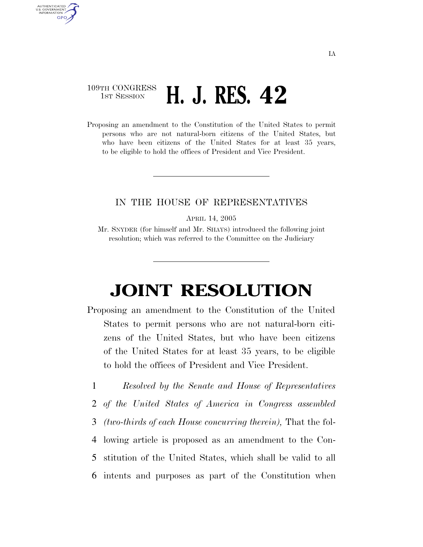## 109TH CONGRESS **1st Session H. J. RES. 42**

AUTHENTICATED U.S. GOVERNMENT **GPO** 

> Proposing an amendment to the Constitution of the United States to permit persons who are not natural-born citizens of the United States, but who have been citizens of the United States for at least 35 years, to be eligible to hold the offices of President and Vice President.

## IN THE HOUSE OF REPRESENTATIVES

APRIL 14, 2005

Mr. SNYDER (for himself and Mr. SHAYS) introduced the following joint resolution; which was referred to the Committee on the Judiciary

## **JOINT RESOLUTION**

- Proposing an amendment to the Constitution of the United States to permit persons who are not natural-born citizens of the United States, but who have been citizens of the United States for at least 35 years, to be eligible to hold the offices of President and Vice President.
- 1 *Resolved by the Senate and House of Representatives*  2 *of the United States of America in Congress assembled*  3 *(two-thirds of each House concurring therein),* That the fol-4 lowing article is proposed as an amendment to the Con-5 stitution of the United States, which shall be valid to all 6 intents and purposes as part of the Constitution when